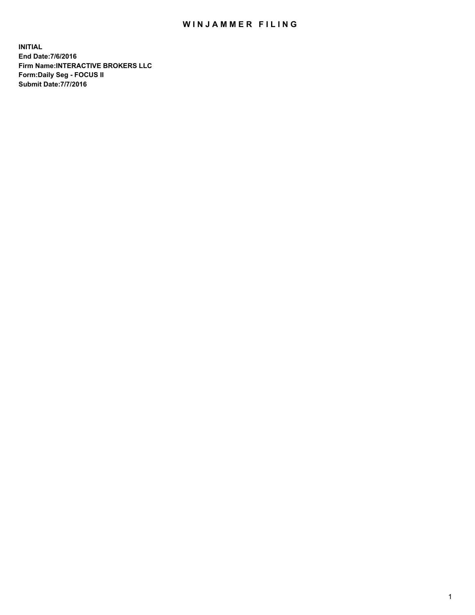## WIN JAMMER FILING

**INITIAL End Date:7/6/2016 Firm Name:INTERACTIVE BROKERS LLC Form:Daily Seg - FOCUS II Submit Date:7/7/2016**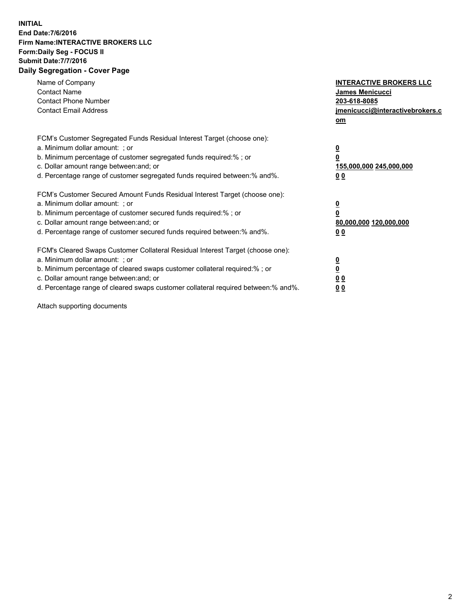## **INITIAL End Date:7/6/2016 Firm Name:INTERACTIVE BROKERS LLC Form:Daily Seg - FOCUS II Submit Date:7/7/2016 Daily Segregation - Cover Page**

| Name of Company<br><b>Contact Name</b><br><b>Contact Phone Number</b><br><b>Contact Email Address</b>                                                                                                                                                                                                                          | <b>INTERACTIVE BROKERS LLC</b><br><b>James Menicucci</b><br>203-618-8085<br>jmenicucci@interactivebrokers.c<br>om |
|--------------------------------------------------------------------------------------------------------------------------------------------------------------------------------------------------------------------------------------------------------------------------------------------------------------------------------|-------------------------------------------------------------------------------------------------------------------|
| FCM's Customer Segregated Funds Residual Interest Target (choose one):<br>a. Minimum dollar amount: ; or<br>b. Minimum percentage of customer segregated funds required:% ; or<br>c. Dollar amount range between: and; or<br>d. Percentage range of customer segregated funds required between:% and%.                         | $\overline{\mathbf{0}}$<br>0<br>155,000,000 245,000,000<br>0 <sub>0</sub>                                         |
| FCM's Customer Secured Amount Funds Residual Interest Target (choose one):<br>a. Minimum dollar amount: ; or<br>b. Minimum percentage of customer secured funds required:%; or<br>c. Dollar amount range between: and; or<br>d. Percentage range of customer secured funds required between:% and%.                            | $\overline{\mathbf{0}}$<br>$\overline{\mathbf{0}}$<br>80,000,000 120,000,000<br>00                                |
| FCM's Cleared Swaps Customer Collateral Residual Interest Target (choose one):<br>a. Minimum dollar amount: ; or<br>b. Minimum percentage of cleared swaps customer collateral required:% ; or<br>c. Dollar amount range between: and; or<br>d. Percentage range of cleared swaps customer collateral required between:% and%. | $\overline{\mathbf{0}}$<br>$\overline{\mathbf{0}}$<br>0 <sub>0</sub><br><u>00</u>                                 |

Attach supporting documents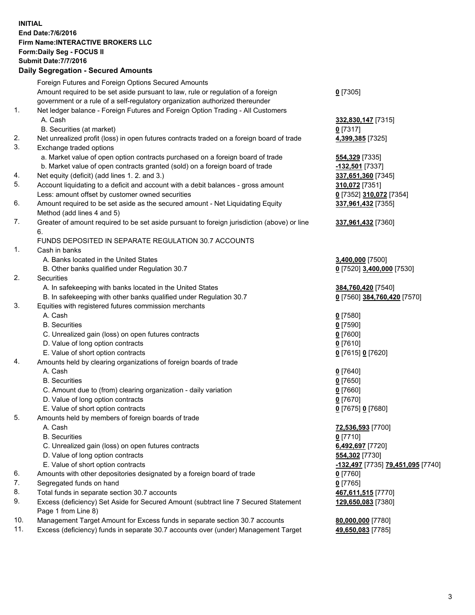## **INITIAL End Date:7/6/2016 Firm Name:INTERACTIVE BROKERS LLC Form:Daily Seg - FOCUS II Submit Date:7/7/2016 Daily Segregation - Secured Amounts**

|     | Foreign Futures and Foreign Options Secured Amounts                                         |                                   |
|-----|---------------------------------------------------------------------------------------------|-----------------------------------|
|     | Amount required to be set aside pursuant to law, rule or regulation of a foreign            | $0$ [7305]                        |
|     | government or a rule of a self-regulatory organization authorized thereunder                |                                   |
| 1.  | Net ledger balance - Foreign Futures and Foreign Option Trading - All Customers             |                                   |
|     | A. Cash                                                                                     | 332,830,147 [7315]                |
|     | B. Securities (at market)                                                                   | $0$ [7317]                        |
| 2.  | Net unrealized profit (loss) in open futures contracts traded on a foreign board of trade   | 4,399,385 [7325]                  |
| 3.  | Exchange traded options                                                                     |                                   |
|     | a. Market value of open option contracts purchased on a foreign board of trade              | 554,329 [7335]                    |
|     | b. Market value of open contracts granted (sold) on a foreign board of trade                | -132,501 [7337]                   |
| 4.  | Net equity (deficit) (add lines 1. 2. and 3.)                                               | 337,651,360 [7345]                |
| 5.  | Account liquidating to a deficit and account with a debit balances - gross amount           |                                   |
|     |                                                                                             | 310,072 [7351]                    |
|     | Less: amount offset by customer owned securities                                            | 0 [7352] 310,072 [7354]           |
| 6.  | Amount required to be set aside as the secured amount - Net Liquidating Equity              | 337,961,432 [7355]                |
|     | Method (add lines 4 and 5)                                                                  |                                   |
| 7.  | Greater of amount required to be set aside pursuant to foreign jurisdiction (above) or line | 337,961,432 [7360]                |
|     | 6.                                                                                          |                                   |
|     | FUNDS DEPOSITED IN SEPARATE REGULATION 30.7 ACCOUNTS                                        |                                   |
| 1.  | Cash in banks                                                                               |                                   |
|     | A. Banks located in the United States                                                       | 3,400,000 [7500]                  |
|     | B. Other banks qualified under Regulation 30.7                                              | 0 [7520] 3,400,000 [7530]         |
| 2.  | Securities                                                                                  |                                   |
|     | A. In safekeeping with banks located in the United States                                   | 384,760,420 [7540]                |
|     | B. In safekeeping with other banks qualified under Regulation 30.7                          | 0 [7560] 384,760,420 [7570]       |
| 3.  | Equities with registered futures commission merchants                                       |                                   |
|     | A. Cash                                                                                     | $0$ [7580]                        |
|     | <b>B.</b> Securities                                                                        | $0$ [7590]                        |
|     | C. Unrealized gain (loss) on open futures contracts                                         | $0$ [7600]                        |
|     | D. Value of long option contracts                                                           | $0$ [7610]                        |
|     | E. Value of short option contracts                                                          | 0 [7615] 0 [7620]                 |
| 4.  | Amounts held by clearing organizations of foreign boards of trade                           |                                   |
|     | A. Cash                                                                                     | $0$ [7640]                        |
|     | <b>B.</b> Securities                                                                        | $0$ [7650]                        |
|     | C. Amount due to (from) clearing organization - daily variation                             | $0$ [7660]                        |
|     | D. Value of long option contracts                                                           | $0$ [7670]                        |
|     | E. Value of short option contracts                                                          | 0 [7675] 0 [7680]                 |
| 5.  | Amounts held by members of foreign boards of trade                                          |                                   |
|     | A. Cash                                                                                     | 72,536,593 [7700]                 |
|     | <b>B.</b> Securities                                                                        | $0$ [7710]                        |
|     | C. Unrealized gain (loss) on open futures contracts                                         | 6,492,697 [7720]                  |
|     | D. Value of long option contracts                                                           | 554,302 [7730]                    |
|     | E. Value of short option contracts                                                          | -132,497 [7735] 79,451,095 [7740] |
| 6.  | Amounts with other depositories designated by a foreign board of trade                      | $0$ [7760]                        |
| 7.  | Segregated funds on hand                                                                    |                                   |
|     |                                                                                             | $0$ [7765]                        |
| 8.  | Total funds in separate section 30.7 accounts                                               | 467,611,515 [7770]                |
| 9.  | Excess (deficiency) Set Aside for Secured Amount (subtract line 7 Secured Statement         | 129,650,083 [7380]                |
|     | Page 1 from Line 8)                                                                         |                                   |
| 10. | Management Target Amount for Excess funds in separate section 30.7 accounts                 | 80,000,000 [7780]                 |
| 11. | Excess (deficiency) funds in separate 30.7 accounts over (under) Management Target          | 49,650,083 [7785]                 |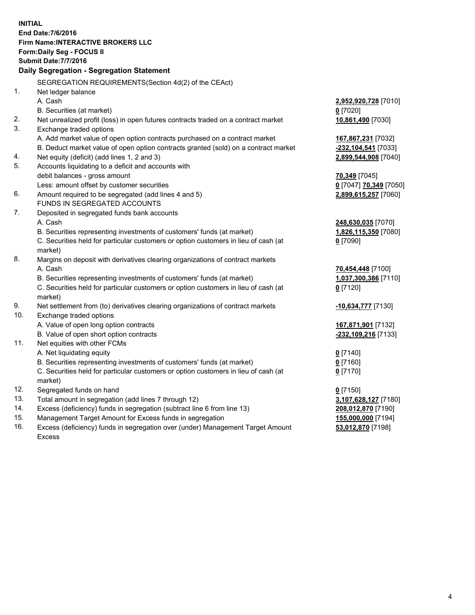**INITIAL End Date:7/6/2016 Firm Name:INTERACTIVE BROKERS LLC Form:Daily Seg - FOCUS II Submit Date:7/7/2016 Daily Segregation - Segregation Statement** SEGREGATION REQUIREMENTS(Section 4d(2) of the CEAct) 1. Net ledger balance A. Cash **2,952,920,728** [7010] B. Securities (at market) **0** [7020] 2. Net unrealized profit (loss) in open futures contracts traded on a contract market **10,861,490** [7030] 3. Exchange traded options A. Add market value of open option contracts purchased on a contract market **167,867,231** [7032] B. Deduct market value of open option contracts granted (sold) on a contract market **-232,104,541** [7033] 4. Net equity (deficit) (add lines 1, 2 and 3) **2,899,544,908** [7040] 5. Accounts liquidating to a deficit and accounts with debit balances - gross amount **70,349** [7045] Less: amount offset by customer securities **0** [7047] **70,349** [7050] 6. Amount required to be segregated (add lines 4 and 5) **2,899,615,257** [7060] FUNDS IN SEGREGATED ACCOUNTS 7. Deposited in segregated funds bank accounts A. Cash **248,630,035** [7070] B. Securities representing investments of customers' funds (at market) **1,826,115,350** [7080] C. Securities held for particular customers or option customers in lieu of cash (at market) **0** [7090] 8. Margins on deposit with derivatives clearing organizations of contract markets A. Cash **70,454,448** [7100] B. Securities representing investments of customers' funds (at market) **1,037,300,386** [7110] C. Securities held for particular customers or option customers in lieu of cash (at market) **0** [7120] 9. Net settlement from (to) derivatives clearing organizations of contract markets **-10,634,777** [7130] 10. Exchange traded options A. Value of open long option contracts **167,871,901** [7132] B. Value of open short option contracts **-232,109,216** [7133] 11. Net equities with other FCMs A. Net liquidating equity **0** [7140] B. Securities representing investments of customers' funds (at market) **0** [7160] C. Securities held for particular customers or option customers in lieu of cash (at market) **0** [7170] 12. Segregated funds on hand **0** [7150] 13. Total amount in segregation (add lines 7 through 12) **3,107,628,127** [7180] 14. Excess (deficiency) funds in segregation (subtract line 6 from line 13) **208,012,870** [7190] 15. Management Target Amount for Excess funds in segregation **155,000,000** [7194] **53,012,870** [7198]

16. Excess (deficiency) funds in segregation over (under) Management Target Amount Excess